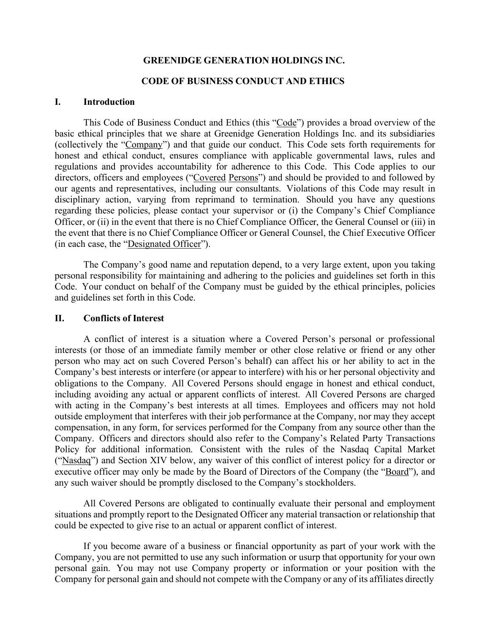#### **GREENIDGE GENERATION HOLDINGS INC.**

#### **CODE OF BUSINESS CONDUCT AND ETHICS**

#### **I. Introduction**

This Code of Business Conduct and Ethics (this "Code") provides a broad overview of the basic ethical principles that we share at Greenidge Generation Holdings Inc. and its subsidiaries (collectively the "Company") and that guide our conduct. This Code sets forth requirements for honest and ethical conduct, ensures compliance with applicable governmental laws, rules and regulations and provides accountability for adherence to this Code. This Code applies to our directors, officers and employees ("Covered Persons") and should be provided to and followed by our agents and representatives, including our consultants. Violations of this Code may result in disciplinary action, varying from reprimand to termination. Should you have any questions regarding these policies, please contact your supervisor or (i) the Company's Chief Compliance Officer, or (ii) in the event that there is no Chief Compliance Officer, the General Counsel or (iii) in the event that there is no Chief Compliance Officer or General Counsel, the Chief Executive Officer (in each case, the "Designated Officer").

The Company's good name and reputation depend, to a very large extent, upon you taking personal responsibility for maintaining and adhering to the policies and guidelines set forth in this Code. Your conduct on behalf of the Company must be guided by the ethical principles, policies and guidelines set forth in this Code.

#### **II. Conflicts of Interest**

A conflict of interest is a situation where a Covered Person's personal or professional interests (or those of an immediate family member or other close relative or friend or any other person who may act on such Covered Person's behalf) can affect his or her ability to act in the Company's best interests or interfere (or appear to interfere) with his or her personal objectivity and obligations to the Company. All Covered Persons should engage in honest and ethical conduct, including avoiding any actual or apparent conflicts of interest. All Covered Persons are charged with acting in the Company's best interests at all times. Employees and officers may not hold outside employment that interferes with their job performance at the Company, nor may they accept compensation, in any form, for services performed for the Company from any source other than the Company. Officers and directors should also refer to the Company's Related Party Transactions Policy for additional information. Consistent with the rules of the Nasdaq Capital Market ("Nasdaq") and Section XIV below, any waiver of this conflict of interest policy for a director or executive officer may only be made by the Board of Directors of the Company (the "Board"), and any such waiver should be promptly disclosed to the Company's stockholders.

All Covered Persons are obligated to continually evaluate their personal and employment situations and promptly report to the Designated Officer any material transaction or relationship that could be expected to give rise to an actual or apparent conflict of interest.

If you become aware of a business or financial opportunity as part of your work with the Company, you are not permitted to use any such information or usurp that opportunity for your own personal gain. You may not use Company property or information or your position with the Company for personal gain and should not compete with the Company or any of its affiliates directly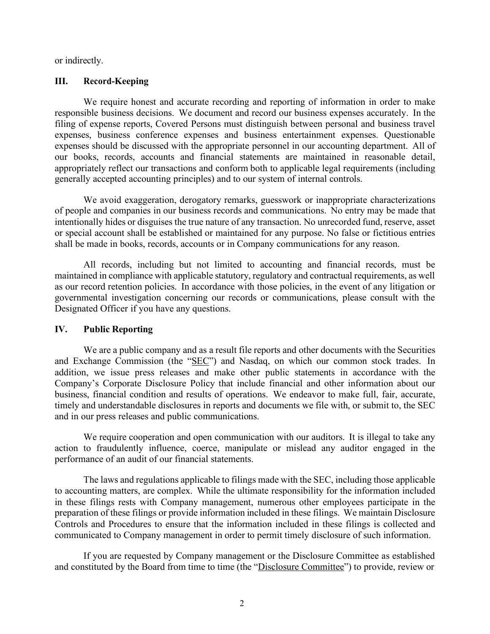or indirectly.

#### **III. Record-Keeping**

We require honest and accurate recording and reporting of information in order to make responsible business decisions. We document and record our business expenses accurately. In the filing of expense reports, Covered Persons must distinguish between personal and business travel expenses, business conference expenses and business entertainment expenses. Questionable expenses should be discussed with the appropriate personnel in our accounting department. All of our books, records, accounts and financial statements are maintained in reasonable detail, appropriately reflect our transactions and conform both to applicable legal requirements (including generally accepted accounting principles) and to our system of internal controls.

We avoid exaggeration, derogatory remarks, guesswork or inappropriate characterizations of people and companies in our business records and communications. No entry may be made that intentionally hides or disguises the true nature of any transaction. No unrecorded fund, reserve, asset or special account shall be established or maintained for any purpose. No false or fictitious entries shall be made in books, records, accounts or in Company communications for any reason.

All records, including but not limited to accounting and financial records, must be maintained in compliance with applicable statutory, regulatory and contractual requirements, as well as our record retention policies. In accordance with those policies, in the event of any litigation or governmental investigation concerning our records or communications, please consult with the Designated Officer if you have any questions.

#### **IV. Public Reporting**

We are a public company and as a result file reports and other documents with the Securities and Exchange Commission (the "SEC") and Nasdaq, on which our common stock trades. In addition, we issue press releases and make other public statements in accordance with the Company's Corporate Disclosure Policy that include financial and other information about our business, financial condition and results of operations. We endeavor to make full, fair, accurate, timely and understandable disclosures in reports and documents we file with, or submit to, the SEC and in our press releases and public communications.

We require cooperation and open communication with our auditors. It is illegal to take any action to fraudulently influence, coerce, manipulate or mislead any auditor engaged in the performance of an audit of our financial statements.

The laws and regulations applicable to filings made with the SEC, including those applicable to accounting matters, are complex. While the ultimate responsibility for the information included in these filings rests with Company management, numerous other employees participate in the preparation of these filings or provide information included in these filings. We maintain Disclosure Controls and Procedures to ensure that the information included in these filings is collected and communicated to Company management in order to permit timely disclosure of such information.

If you are requested by Company management or the Disclosure Committee as established and constituted by the Board from time to time (the "Disclosure Committee") to provide, review or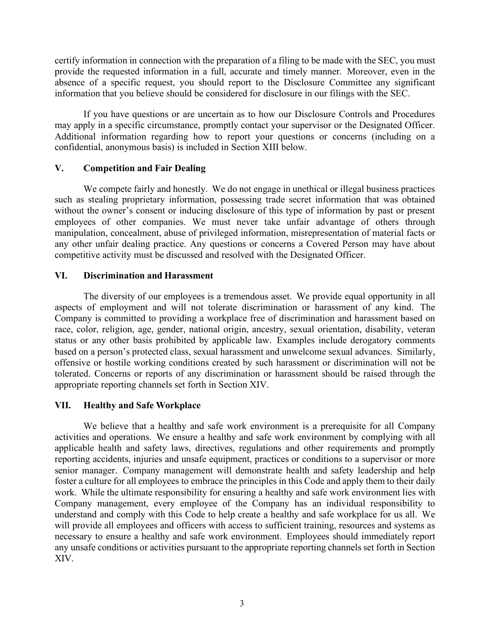certify information in connection with the preparation of a filing to be made with the SEC, you must provide the requested information in a full, accurate and timely manner. Moreover, even in the absence of a specific request, you should report to the Disclosure Committee any significant information that you believe should be considered for disclosure in our filings with the SEC.

If you have questions or are uncertain as to how our Disclosure Controls and Procedures may apply in a specific circumstance, promptly contact your supervisor or the Designated Officer. Additional information regarding how to report your questions or concerns (including on a confidential, anonymous basis) is included in Section XIII below.

## **V. Competition and Fair Dealing**

We compete fairly and honestly. We do not engage in unethical or illegal business practices such as stealing proprietary information, possessing trade secret information that was obtained without the owner's consent or inducing disclosure of this type of information by past or present employees of other companies. We must never take unfair advantage of others through manipulation, concealment, abuse of privileged information, misrepresentation of material facts or any other unfair dealing practice. Any questions or concerns a Covered Person may have about competitive activity must be discussed and resolved with the Designated Officer.

#### **VI. Discrimination and Harassment**

The diversity of our employees is a tremendous asset. We provide equal opportunity in all aspects of employment and will not tolerate discrimination or harassment of any kind. The Company is committed to providing a workplace free of discrimination and harassment based on race, color, religion, age, gender, national origin, ancestry, sexual orientation, disability, veteran status or any other basis prohibited by applicable law. Examples include derogatory comments based on a person's protected class, sexual harassment and unwelcome sexual advances. Similarly, offensive or hostile working conditions created by such harassment or discrimination will not be tolerated. Concerns or reports of any discrimination or harassment should be raised through the appropriate reporting channels set forth in Section XIV.

## **VII. Healthy and Safe Workplace**

We believe that a healthy and safe work environment is a prerequisite for all Company activities and operations. We ensure a healthy and safe work environment by complying with all applicable health and safety laws, directives, regulations and other requirements and promptly reporting accidents, injuries and unsafe equipment, practices or conditions to a supervisor or more senior manager. Company management will demonstrate health and safety leadership and help foster a culture for all employees to embrace the principles in this Code and apply them to their daily work. While the ultimate responsibility for ensuring a healthy and safe work environment lies with Company management, every employee of the Company has an individual responsibility to understand and comply with this Code to help create a healthy and safe workplace for us all. We will provide all employees and officers with access to sufficient training, resources and systems as necessary to ensure a healthy and safe work environment. Employees should immediately report any unsafe conditions or activities pursuant to the appropriate reporting channels set forth in Section XIV.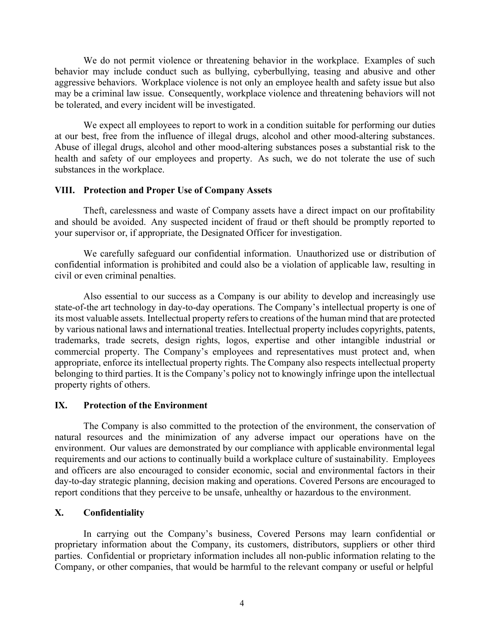We do not permit violence or threatening behavior in the workplace. Examples of such behavior may include conduct such as bullying, cyberbullying, teasing and abusive and other aggressive behaviors. Workplace violence is not only an employee health and safety issue but also may be a criminal law issue. Consequently, workplace violence and threatening behaviors will not be tolerated, and every incident will be investigated.

We expect all employees to report to work in a condition suitable for performing our duties at our best, free from the influence of illegal drugs, alcohol and other mood-altering substances. Abuse of illegal drugs, alcohol and other mood-altering substances poses a substantial risk to the health and safety of our employees and property. As such, we do not tolerate the use of such substances in the workplace.

#### **VIII. Protection and Proper Use of Company Assets**

Theft, carelessness and waste of Company assets have a direct impact on our profitability and should be avoided. Any suspected incident of fraud or theft should be promptly reported to your supervisor or, if appropriate, the Designated Officer for investigation.

We carefully safeguard our confidential information. Unauthorized use or distribution of confidential information is prohibited and could also be a violation of applicable law, resulting in civil or even criminal penalties.

Also essential to our success as a Company is our ability to develop and increasingly use state-of-the art technology in day-to-day operations. The Company's intellectual property is one of its most valuable assets. Intellectual property refersto creations of the human mind that are protected by various national laws and international treaties. Intellectual property includes copyrights, patents, trademarks, trade secrets, design rights, logos, expertise and other intangible industrial or commercial property. The Company's employees and representatives must protect and, when appropriate, enforce its intellectual property rights. The Company also respects intellectual property belonging to third parties. It is the Company's policy not to knowingly infringe upon the intellectual property rights of others.

#### **IX. Protection of the Environment**

The Company is also committed to the protection of the environment, the conservation of natural resources and the minimization of any adverse impact our operations have on the environment. Our values are demonstrated by our compliance with applicable environmental legal requirements and our actions to continually build a workplace culture of sustainability. Employees and officers are also encouraged to consider economic, social and environmental factors in their day-to-day strategic planning, decision making and operations. Covered Persons are encouraged to report conditions that they perceive to be unsafe, unhealthy or hazardous to the environment.

## **X. Confidentiality**

In carrying out the Company's business, Covered Persons may learn confidential or proprietary information about the Company, its customers, distributors, suppliers or other third parties. Confidential or proprietary information includes all non-public information relating to the Company, or other companies, that would be harmful to the relevant company or useful or helpful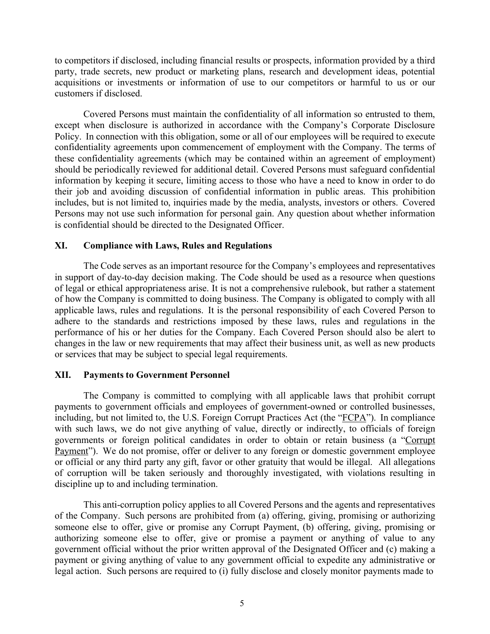to competitors if disclosed, including financial results or prospects, information provided by a third party, trade secrets, new product or marketing plans, research and development ideas, potential acquisitions or investments or information of use to our competitors or harmful to us or our customers if disclosed.

Covered Persons must maintain the confidentiality of all information so entrusted to them, except when disclosure is authorized in accordance with the Company's Corporate Disclosure Policy. In connection with this obligation, some or all of our employees will be required to execute confidentiality agreements upon commencement of employment with the Company. The terms of these confidentiality agreements (which may be contained within an agreement of employment) should be periodically reviewed for additional detail. Covered Persons must safeguard confidential information by keeping it secure, limiting access to those who have a need to know in order to do their job and avoiding discussion of confidential information in public areas. This prohibition includes, but is not limited to, inquiries made by the media, analysts, investors or others. Covered Persons may not use such information for personal gain. Any question about whether information is confidential should be directed to the Designated Officer.

#### **XI. Compliance with Laws, Rules and Regulations**

The Code serves as an important resource for the Company's employees and representatives in support of day-to-day decision making. The Code should be used as a resource when questions of legal or ethical appropriateness arise. It is not a comprehensive rulebook, but rather a statement of how the Company is committed to doing business. The Company is obligated to comply with all applicable laws, rules and regulations. It is the personal responsibility of each Covered Person to adhere to the standards and restrictions imposed by these laws, rules and regulations in the performance of his or her duties for the Company. Each Covered Person should also be alert to changes in the law or new requirements that may affect their business unit, as well as new products or services that may be subject to special legal requirements.

#### **XII. Payments to Government Personnel**

The Company is committed to complying with all applicable laws that prohibit corrupt payments to government officials and employees of government-owned or controlled businesses, including, but not limited to, the U.S. Foreign Corrupt Practices Act (the "FCPA"). In compliance with such laws, we do not give anything of value, directly or indirectly, to officials of foreign governments or foreign political candidates in order to obtain or retain business (a "Corrupt Payment"). We do not promise, offer or deliver to any foreign or domestic government employee or official or any third party any gift, favor or other gratuity that would be illegal. All allegations of corruption will be taken seriously and thoroughly investigated, with violations resulting in discipline up to and including termination.

This anti-corruption policy applies to all Covered Persons and the agents and representatives of the Company. Such persons are prohibited from (a) offering, giving, promising or authorizing someone else to offer, give or promise any Corrupt Payment, (b) offering, giving, promising or authorizing someone else to offer, give or promise a payment or anything of value to any government official without the prior written approval of the Designated Officer and (c) making a payment or giving anything of value to any government official to expedite any administrative or legal action. Such persons are required to (i) fully disclose and closely monitor payments made to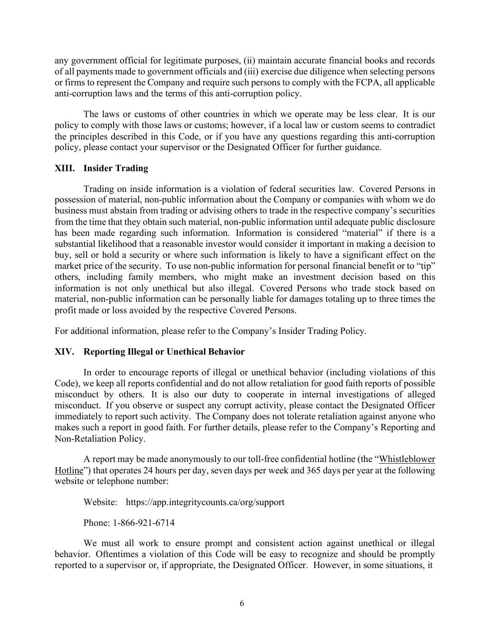any government official for legitimate purposes, (ii) maintain accurate financial books and records of all payments made to government officials and (iii) exercise due diligence when selecting persons or firms to represent the Company and require such persons to comply with the FCPA, all applicable anti-corruption laws and the terms of this anti-corruption policy.

The laws or customs of other countries in which we operate may be less clear. It is our policy to comply with those laws or customs; however, if a local law or custom seems to contradict the principles described in this Code, or if you have any questions regarding this anti-corruption policy, please contact your supervisor or the Designated Officer for further guidance.

## **XIII. Insider Trading**

Trading on inside information is a violation of federal securities law. Covered Persons in possession of material, non-public information about the Company or companies with whom we do business must abstain from trading or advising others to trade in the respective company's securities from the time that they obtain such material, non-public information until adequate public disclosure has been made regarding such information. Information is considered "material" if there is a substantial likelihood that a reasonable investor would consider it important in making a decision to buy, sell or hold a security or where such information is likely to have a significant effect on the market price of the security. To use non-public information for personal financial benefit or to "tip" others, including family members, who might make an investment decision based on this information is not only unethical but also illegal. Covered Persons who trade stock based on material, non-public information can be personally liable for damages totaling up to three times the profit made or loss avoided by the respective Covered Persons.

For additional information, please refer to the Company's Insider Trading Policy.

# **XIV. Reporting Illegal or Unethical Behavior**

In order to encourage reports of illegal or unethical behavior (including violations of this Code), we keep all reports confidential and do not allow retaliation for good faith reports of possible misconduct by others. It is also our duty to cooperate in internal investigations of alleged misconduct. If you observe or suspect any corrupt activity, please contact the Designated Officer immediately to report such activity. The Company does not tolerate retaliation against anyone who makes such a report in good faith. For further details, please refer to the Company's Reporting and Non-Retaliation Policy.

A report may be made anonymously to our toll-free confidential hotline (the "Whistleblower Hotline") that operates 24 hours per day, seven days per week and 365 days per year at the following website or telephone number:

Website: https://app.integritycounts.ca/org/support

Phone: 1-866-921-6714

We must all work to ensure prompt and consistent action against unethical or illegal behavior. Oftentimes a violation of this Code will be easy to recognize and should be promptly reported to a supervisor or, if appropriate, the Designated Officer. However, in some situations, it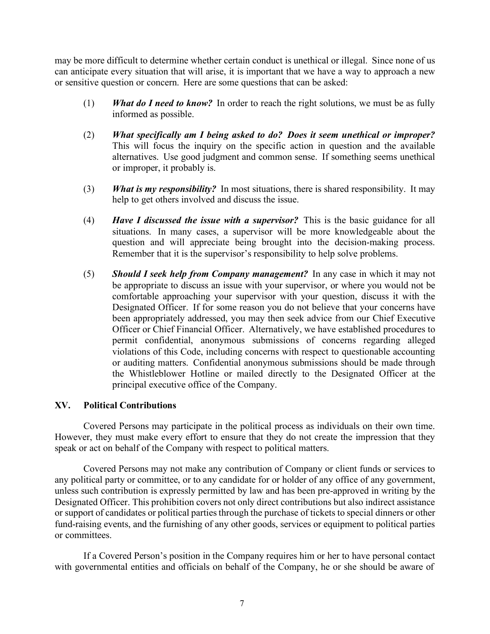may be more difficult to determine whether certain conduct is unethical or illegal. Since none of us can anticipate every situation that will arise, it is important that we have a way to approach a new or sensitive question or concern. Here are some questions that can be asked:

- (1) *What do I need to know?* In order to reach the right solutions, we must be as fully informed as possible.
- (2) *What specifically am I being asked to do? Does it seem unethical or improper?*  This will focus the inquiry on the specific action in question and the available alternatives. Use good judgment and common sense. If something seems unethical or improper, it probably is.
- (3) *What is my responsibility?* In most situations, there is shared responsibility. It may help to get others involved and discuss the issue.
- (4) *Have I discussed the issue with a supervisor?* This is the basic guidance for all situations. In many cases, a supervisor will be more knowledgeable about the question and will appreciate being brought into the decision-making process. Remember that it is the supervisor's responsibility to help solve problems.
- (5) *Should I seek help from Company management?* In any case in which it may not be appropriate to discuss an issue with your supervisor, or where you would not be comfortable approaching your supervisor with your question, discuss it with the Designated Officer. If for some reason you do not believe that your concerns have been appropriately addressed, you may then seek advice from our Chief Executive Officer or Chief Financial Officer. Alternatively, we have established procedures to permit confidential, anonymous submissions of concerns regarding alleged violations of this Code, including concerns with respect to questionable accounting or auditing matters. Confidential anonymous submissions should be made through the Whistleblower Hotline or mailed directly to the Designated Officer at the principal executive office of the Company.

## **XV. Political Contributions**

Covered Persons may participate in the political process as individuals on their own time. However, they must make every effort to ensure that they do not create the impression that they speak or act on behalf of the Company with respect to political matters.

Covered Persons may not make any contribution of Company or client funds or services to any political party or committee, or to any candidate for or holder of any office of any government, unless such contribution is expressly permitted by law and has been pre-approved in writing by the Designated Officer. This prohibition covers not only direct contributions but also indirect assistance or support of candidates or political partiesthrough the purchase of tickets to special dinners or other fund-raising events, and the furnishing of any other goods, services or equipment to political parties or committees.

If a Covered Person's position in the Company requires him or her to have personal contact with governmental entities and officials on behalf of the Company, he or she should be aware of